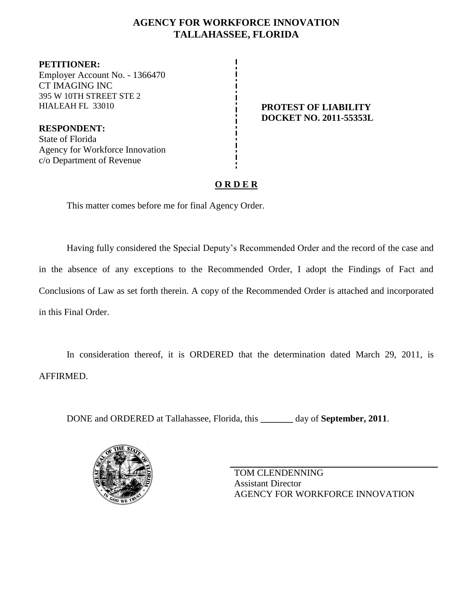## **AGENCY FOR WORKFORCE INNOVATION TALLAHASSEE, FLORIDA**

**PETITIONER:** Employer Account No. - 1366470 CT IMAGING INC 395 W 10TH STREET STE 2 HIALEAH FL 33010 **PROTEST OF LIABILITY**

**RESPONDENT:** State of Florida Agency for Workforce Innovation c/o Department of Revenue

# **DOCKET NO. 2011-55353L**

## **O R D E R**

This matter comes before me for final Agency Order.

Having fully considered the Special Deputy's Recommended Order and the record of the case and in the absence of any exceptions to the Recommended Order, I adopt the Findings of Fact and Conclusions of Law as set forth therein. A copy of the Recommended Order is attached and incorporated in this Final Order.

In consideration thereof, it is ORDERED that the determination dated March 29, 2011, is AFFIRMED.

DONE and ORDERED at Tallahassee, Florida, this **\_\_\_\_\_\_\_** day of **September, 2011**.



TOM CLENDENNING Assistant Director AGENCY FOR WORKFORCE INNOVATION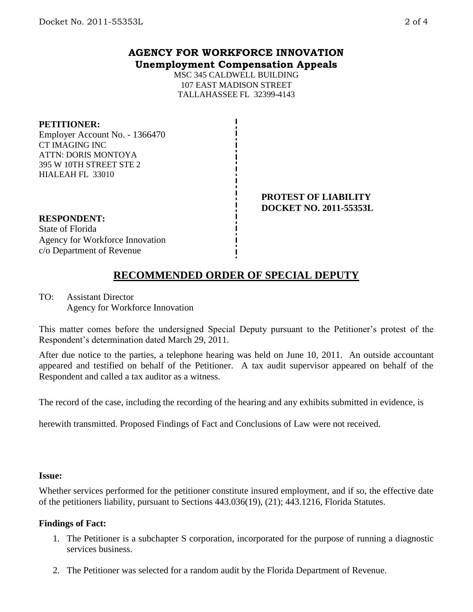### **AGENCY FOR WORKFORCE INNOVATION Unemployment Compensation Appeals**

MSC 345 CALDWELL BUILDING 107 EAST MADISON STREET TALLAHASSEE FL 32399-4143

#### **PETITIONER:**

Employer Account No. - 1366470 CT IMAGING INC ATTN: DORIS MONTOYA 395 W 10TH STREET STE 2 HIALEAH FL 33010

> **PROTEST OF LIABILITY DOCKET NO. 2011-55353L**

### **RESPONDENT:**

State of Florida Agency for Workforce Innovation c/o Department of Revenue

## **RECOMMENDED ORDER OF SPECIAL DEPUTY**

TO: Assistant Director Agency for Workforce Innovation

This matter comes before the undersigned Special Deputy pursuant to the Petitioner's protest of the Respondent's determination dated March 29, 2011.

After due notice to the parties, a telephone hearing was held on June 10, 2011. An outside accountant appeared and testified on behalf of the Petitioner. A tax audit supervisor appeared on behalf of the Respondent and called a tax auditor as a witness.

The record of the case, including the recording of the hearing and any exhibits submitted in evidence, is

herewith transmitted. Proposed Findings of Fact and Conclusions of Law were not received.

#### **Issue:**

Whether services performed for the petitioner constitute insured employment, and if so, the effective date of the petitioners liability, pursuant to Sections 443.036(19), (21); 443.1216, Florida Statutes.

#### **Findings of Fact:**

- 1. The Petitioner is a subchapter S corporation, incorporated for the purpose of running a diagnostic services business.
- 2. The Petitioner was selected for a random audit by the Florida Department of Revenue.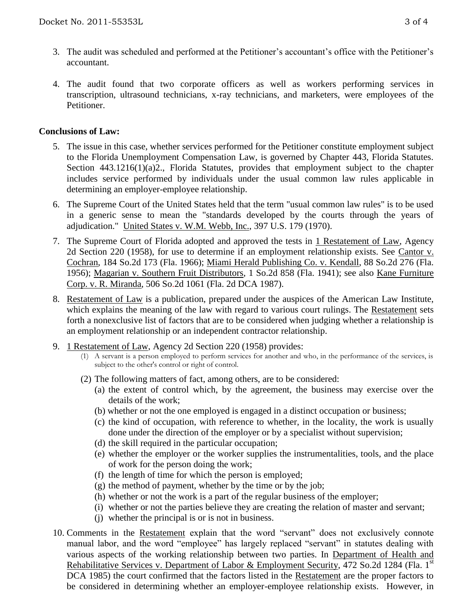- 3. The audit was scheduled and performed at the Petitioner's accountant's office with the Petitioner's accountant.
- 4. The audit found that two corporate officers as well as workers performing services in transcription, ultrasound technicians, x-ray technicians, and marketers, were employees of the Petitioner.

#### **Conclusions of Law:**

- 5. The issue in this case, whether services performed for the Petitioner constitute employment subject to the Florida Unemployment Compensation Law, is governed by Chapter 443, Florida Statutes. Section 443.1216(1)(a)2., Florida Statutes, provides that employment subject to the chapter includes service performed by individuals under the usual common law rules applicable in determining an employer-employee relationship.
- 6. The Supreme Court of the United States held that the term "usual common law rules" is to be used in a generic sense to mean the "standards developed by the courts through the years of adjudication." United States v. W.M. Webb, Inc., 397 U.S. 179 (1970).
- 7. The Supreme Court of Florida adopted and approved the tests in 1 Restatement of Law, Agency 2d Section 220 (1958), for use to determine if an employment relationship exists. See Cantor v. Cochran, 184 So.2d 173 (Fla. 1966); Miami Herald Publishing Co. v. Kendall, 88 So.2d 276 (Fla. 1956); Magarian v. Southern Fruit Distributors, 1 So.2d 858 (Fla. 1941); see also Kane Furniture Corp. v. R. Miranda, 506 So.2d 1061 (Fla. 2d DCA 1987).
- 8. Restatement of Law is a publication, prepared under the auspices of the American Law Institute, which explains the meaning of the law with regard to various court rulings. The Restatement sets forth a nonexclusive list of factors that are to be considered when judging whether a relationship is an employment relationship or an independent contractor relationship.
- 9. 1 Restatement of Law, Agency 2d Section 220 (1958) provides:
	- (1) A servant is a person employed to perform services for another and who, in the performance of the services, is subject to the other's control or right of control.
	- (2) The following matters of fact, among others, are to be considered:
		- (a) the extent of control which, by the agreement, the business may exercise over the details of the work;
		- (b) whether or not the one employed is engaged in a distinct occupation or business;
		- (c) the kind of occupation, with reference to whether, in the locality, the work is usually done under the direction of the employer or by a specialist without supervision;
		- (d) the skill required in the particular occupation;
		- (e) whether the employer or the worker supplies the instrumentalities, tools, and the place of work for the person doing the work;
		- (f) the length of time for which the person is employed;
		- (g) the method of payment, whether by the time or by the job;
		- (h) whether or not the work is a part of the regular business of the employer;
		- (i) whether or not the parties believe they are creating the relation of master and servant;
		- (j) whether the principal is or is not in business.
- 10. Comments in the Restatement explain that the word "servant" does not exclusively connote manual labor, and the word "employee" has largely replaced "servant" in statutes dealing with various aspects of the working relationship between two parties. In Department of Health and Rehabilitative Services v. Department of Labor & Employment Security, 472 So.2d 1284 (Fla. 1st DCA 1985) the court confirmed that the factors listed in the Restatement are the proper factors to be considered in determining whether an employer-employee relationship exists. However, in